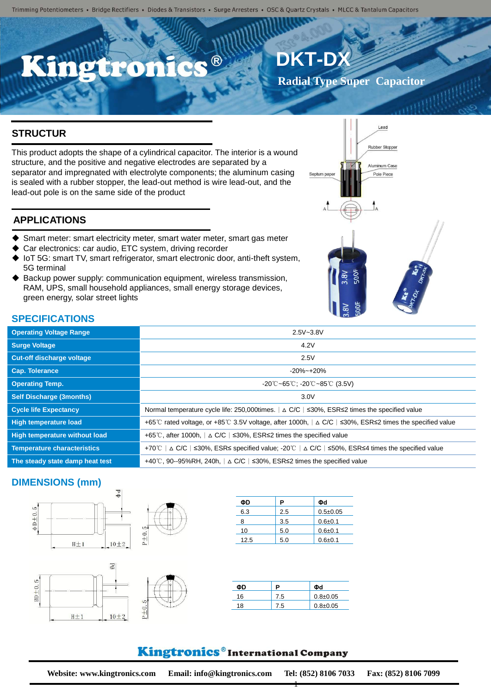# 、®

## **DKT-D**

Septum pape

**Radial Type Super Capacitor**

Lead

Rubber Stopper

Aluminum Case

Pole Piece

## **STRUCTUR**

This product adopts the shape of a cylindrical capacitor. The interior is a wound **E** structure, and the positive and negative electrodes are separated by a separator and impregnated with electrolyte components; the aluminum casing is sealed with a rubber stopper, the lead-out method is wire lead-out, and the lead-out pole is on the same side of the product

## **APPLICATIONS**

- Smart meter: smart electricity meter, smart water meter, smart gas meter
- Car electronics: car audio, ETC system, driving recorder
- IoT 5G: smart TV, smart refrigerator, smart electronic door, anti-theft system, 5G terminal
- Backup power supply: communication equipment, wireless transmission, RAM, UPS, small household appliances, small energy storage devices, green energy, solar street lights

## **SPECIFICATIONS**

| <b>Operating Voltage Range</b>     | $2.5V - 3.8V$                                                                                                                  |
|------------------------------------|--------------------------------------------------------------------------------------------------------------------------------|
| <b>Surge Voltage</b>               | 4.2V                                                                                                                           |
| <b>Cut-off discharge voltage</b>   | 2.5V                                                                                                                           |
| Cap. Tolerance                     | $-20\%$ ~ $+20\%$                                                                                                              |
| <b>Operating Temp.</b>             | $-20^{\circ}$ C ~65 $^{\circ}$ C; -20 $^{\circ}$ C ~85 $^{\circ}$ C (3.5V)                                                     |
| <b>Self Discharge (3months)</b>    | 3.0V                                                                                                                           |
| <b>Cycle life Expectancy</b>       | Normal temperature cycle life: 250,000times. $\vert \Delta CC \vert$ $\leq$ 30%, ESR $\leq$ 2 times the specified value        |
| <b>High temperature load</b>       | +65°C rated voltage, or +85°C 3.5V voltage, after 1000h, $\vert \Delta C/C \vert$ <30%, ESR \le 22 times the specified value   |
| High temperature without load      | +65°C, after 1000h, $\vert \Delta$ C/C $\vert$ ≤30%, ESR≤2 times the specified value                                           |
| <b>Temperature characteristics</b> | $\vert$ ∆ C/C $\vert$ ≤30%, ESR≤ specified value: -20 °C $\vert$ ∆ C/C $\vert$ ≤50%, ESR≤4 times the specified value<br>+70℃ l |
| The steady state damp heat test    | +40°C, 90--95%RH, 240h, $\vert \Delta$ C/C $\vert$ ≤30%, ESR≤2 times the specified value                                       |
|                                    |                                                                                                                                |

### **DIMENSIONS (mm)**





| ΦD   | Р   | Φd           |
|------|-----|--------------|
| 6.3  | 2.5 | $0.5 + 0.05$ |
| 8    | 3.5 | $0.6 + 0.1$  |
| 10   | 5.0 | $0.6 + 0.1$  |
| 12.5 | 5.0 | $0.6 + 0.1$  |

|    |       | ሰብ           |
|----|-------|--------------|
| 16 | 7.5   | $0.8 + 0.05$ |
| 18 | . . 5 | $0.8 + 0.05$ |

1

## Kingtronics®International Company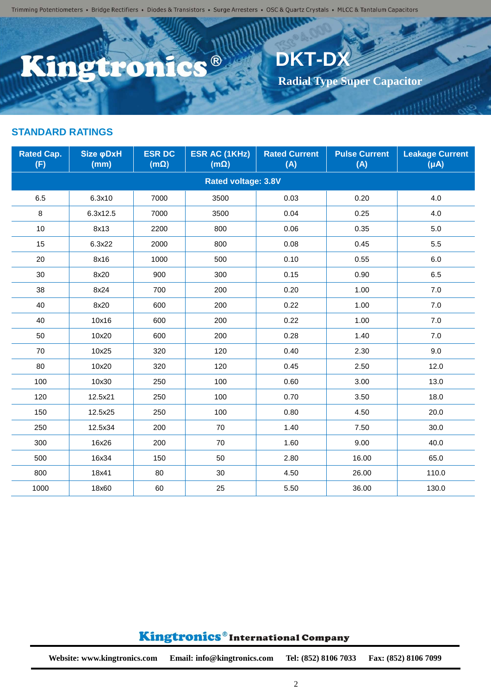Trimming Potentiometers • Bridge Rectifiers • Diodes & Transistors • Surge Arresters • OSC & Quartz Crystals • MLCC & Tantalum Capacitors

C.C.®

**DKT-DX**

 **Radial Type Super Capacitor**

## Kingtronics®International Company

150 | 12.5x25 | 250 | 100 | 0.80 | 4.50 | 20.0 250 12.5x34 200 70 1.40 7.50 30.0 300 16x26 200 70 1.60 9.00 40.0 500 16x34 150 50 2.80 16.00 65.0 800 | 18x41 | 80 | 30 | 4.50 | 26.00 | 110.0 1000 | 18x60 | 60 | 25 | 5.50 | 36.00 | 130.0

**Website: www.kingtronics.com Email: info@kingtronics.com Tel: (852) 8106 7033 Fax: (852) 8106 7099**

**kage Current (μA)**

| <b>Rated Cap.</b><br>(F) | Size φDxH<br>(mm) | <b>ESR DC</b><br>$(m\Omega)$ | <b>ESR AC (1KHz)</b><br>$(m\Omega)$ | <b>Rated Current</b><br>(A) | <b>Pulse Current</b><br>(A) | <b>Leakage C</b><br>$(\mu A)$ |
|--------------------------|-------------------|------------------------------|-------------------------------------|-----------------------------|-----------------------------|-------------------------------|
|                          |                   |                              | <b>Rated voltage: 3.8V</b>          |                             |                             |                               |
| 6.5                      | 6.3x10            | 7000                         | 3500                                | 0.03                        | 0.20                        | 4.0                           |
| 8                        | 6.3x12.5          | 7000                         | 3500                                | 0.04                        | 0.25                        | 4.0                           |
| 10 <sub>1</sub>          | 8x13              | 2200                         | 800                                 | 0.06                        | 0.35                        | $5.0\,$                       |
| 15                       | 6.3x22            | 2000                         | 800                                 | 0.08                        | 0.45                        | 5.5                           |
| 20                       | 8x16              | 1000                         | 500                                 | 0.10                        | 0.55                        | 6.0                           |
| 30                       | 8x20              | 900                          | 300                                 | 0.15                        | 0.90                        | 6.5                           |
| 38                       | 8x24              | 700                          | 200                                 | 0.20                        | 1.00                        | $7.0\,$                       |
| 40                       | 8x20              | 600                          | 200                                 | 0.22                        | 1.00                        | $7.0\,$                       |
| 40                       | 10x16             | 600                          | 200                                 | 0.22                        | 1.00                        | $7.0\,$                       |
| 50                       | 10x20             | 600                          | 200                                 | 0.28                        | 1.40                        | $7.0\,$                       |
| 70                       | 10x25             | 320                          | 120                                 | 0.40                        | 2.30                        | 9.0                           |
| 80                       | 10x20             | 320                          | 120                                 | 0.45                        | 2.50                        | 12.0                          |
| 100                      | 10x30             | 250                          | 100                                 | 0.60                        | 3.00                        | 13.0                          |
| 120                      | 12.5x21           | 250                          | 100                                 | 0.70                        | 3.50                        | 18.0                          |
|                          |                   |                              |                                     |                             |                             |                               |

#### **STANDARD RATINGS**

620